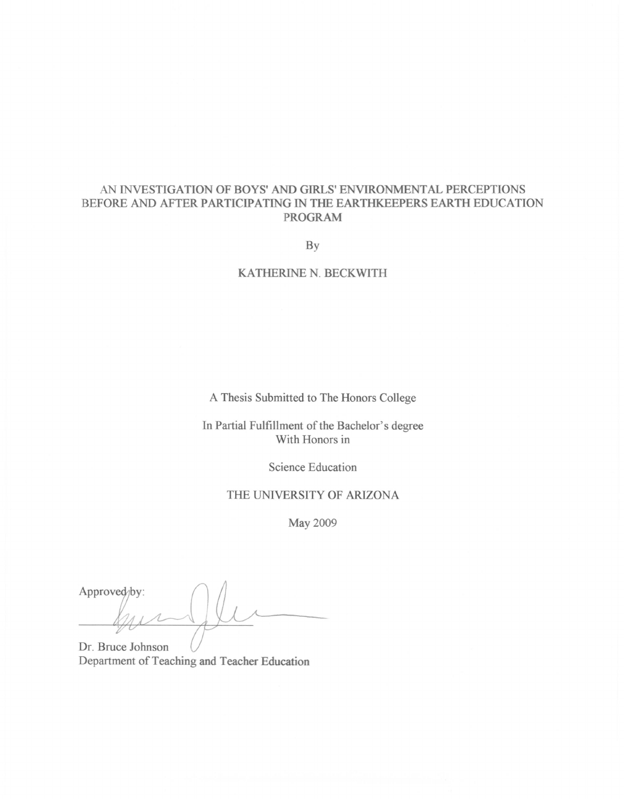# AN INVESTIGATION OF BOYS' AND GIRLS' ENVIRONMENTAL PERCEPTIONS BEFORE AND AFTER PARTICIPATING IN THE EARTHKEEPERS EARTH EDUCATION **PROGRAM**

By

#### KATHERINE N. BECKWITH

A Thesis Submitted to The Honors College

In Partial Fulfillment of the Bachelor's degree With Honors in

Science Education

## THE UNIVERSITY OF ARIZONA

May 2009

Approved<sub>/by:</sub>

Dr. Bruce Johnson Department of Teaching and Teacher Education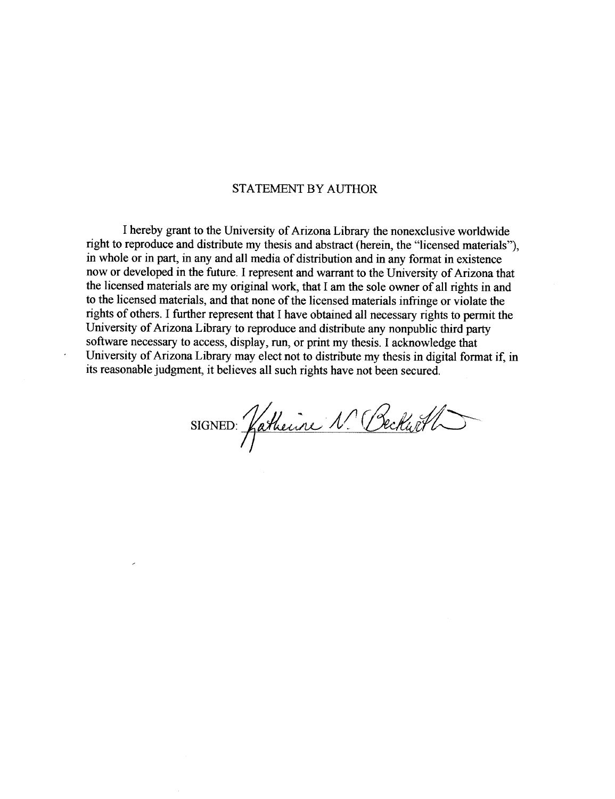## **STATEMENT BY AUTHOR**

I hereby grant to the University of Arizona Library the nonexclusive worldwide right to reproduce and distribute my thesis and abstract (herein, the "licensed materials"), in whole or in part, in any and all media of distribution and in any format in existence now or developed in the future. I represent and warrant to the University of Arizona that the licensed materials are my original work, that I am the sole owner of all rights in and to the licensed materials, and that none of the licensed materials infringe or violate the rights of others. I further represent that I have obtained all necessary rights to permit the University of Arizona Library to reproduce and distribute any nonpublic third party software necessary to access, display, run, or print my thesis. I acknowledge that University of Arizona Library may elect not to distribute my thesis in digital format if, in its reasonable judgment, it believes all such rights have not been secured.

 $\cdot$ 

SIGNED Katherine N. Beckart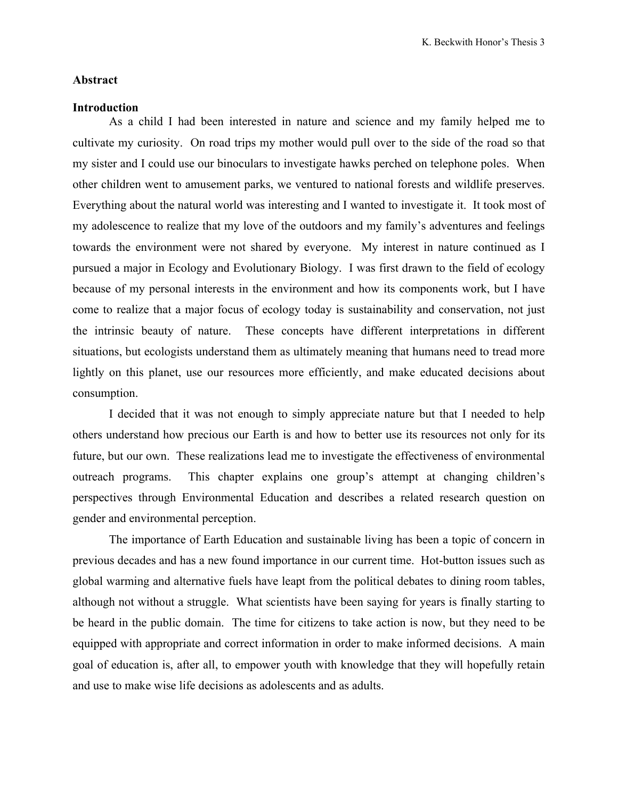## **Abstract**

#### **Introduction**

As a child I had been interested in nature and science and my family helped me to cultivate my curiosity. On road trips my mother would pull over to the side of the road so that my sister and I could use our binoculars to investigate hawks perched on telephone poles. When other children went to amusement parks, we ventured to national forests and wildlife preserves. Everything about the natural world was interesting and I wanted to investigate it. It took most of my adolescence to realize that my love of the outdoors and my family's adventures and feelings towards the environment were not shared by everyone. My interest in nature continued as I pursued a major in Ecology and Evolutionary Biology. I was first drawn to the field of ecology because of my personal interests in the environment and how its components work, but I have come to realize that a major focus of ecology today is sustainability and conservation, not just the intrinsic beauty of nature. These concepts have different interpretations in different situations, but ecologists understand them as ultimately meaning that humans need to tread more lightly on this planet, use our resources more efficiently, and make educated decisions about consumption.

I decided that it was not enough to simply appreciate nature but that I needed to help others understand how precious our Earth is and how to better use its resources not only for its future, but our own. These realizations lead me to investigate the effectiveness of environmental outreach programs. This chapter explains one group's attempt at changing children's perspectives through Environmental Education and describes a related research question on gender and environmental perception.

The importance of Earth Education and sustainable living has been a topic of concern in previous decades and has a new found importance in our current time. Hot-button issues such as global warming and alternative fuels have leapt from the political debates to dining room tables, although not without a struggle. What scientists have been saying for years is finally starting to be heard in the public domain. The time for citizens to take action is now, but they need to be equipped with appropriate and correct information in order to make informed decisions. A main goal of education is, after all, to empower youth with knowledge that they will hopefully retain and use to make wise life decisions as adolescents and as adults.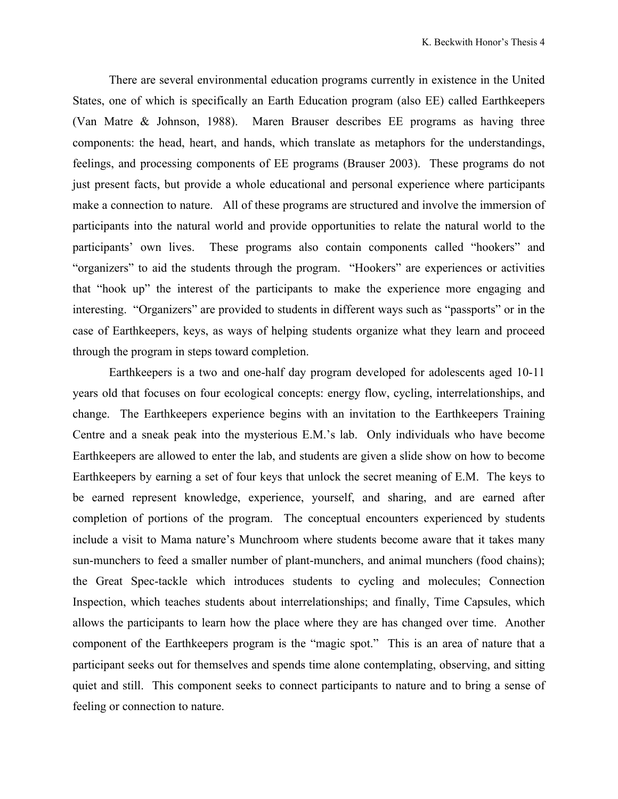There are several environmental education programs currently in existence in the United States, one of which is specifically an Earth Education program (also EE) called Earthkeepers (Van Matre & Johnson, 1988). Maren Brauser describes EE programs as having three components: the head, heart, and hands, which translate as metaphors for the understandings, feelings, and processing components of EE programs (Brauser 2003). These programs do not just present facts, but provide a whole educational and personal experience where participants make a connection to nature. All of these programs are structured and involve the immersion of participants into the natural world and provide opportunities to relate the natural world to the participants' own lives. These programs also contain components called "hookers" and "organizers" to aid the students through the program. "Hookers" are experiences or activities that "hook up" the interest of the participants to make the experience more engaging and interesting. "Organizers" are provided to students in different ways such as "passports" or in the case of Earthkeepers, keys, as ways of helping students organize what they learn and proceed through the program in steps toward completion.

Earthkeepers is a two and one-half day program developed for adolescents aged 10-11 years old that focuses on four ecological concepts: energy flow, cycling, interrelationships, and change. The Earthkeepers experience begins with an invitation to the Earthkeepers Training Centre and a sneak peak into the mysterious E.M.'s lab. Only individuals who have become Earthkeepers are allowed to enter the lab, and students are given a slide show on how to become Earthkeepers by earning a set of four keys that unlock the secret meaning of E.M. The keys to be earned represent knowledge, experience, yourself, and sharing, and are earned after completion of portions of the program. The conceptual encounters experienced by students include a visit to Mama nature's Munchroom where students become aware that it takes many sun-munchers to feed a smaller number of plant-munchers, and animal munchers (food chains); the Great Spec-tackle which introduces students to cycling and molecules; Connection Inspection, which teaches students about interrelationships; and finally, Time Capsules, which allows the participants to learn how the place where they are has changed over time. Another component of the Earthkeepers program is the "magic spot." This is an area of nature that a participant seeks out for themselves and spends time alone contemplating, observing, and sitting quiet and still. This component seeks to connect participants to nature and to bring a sense of feeling or connection to nature.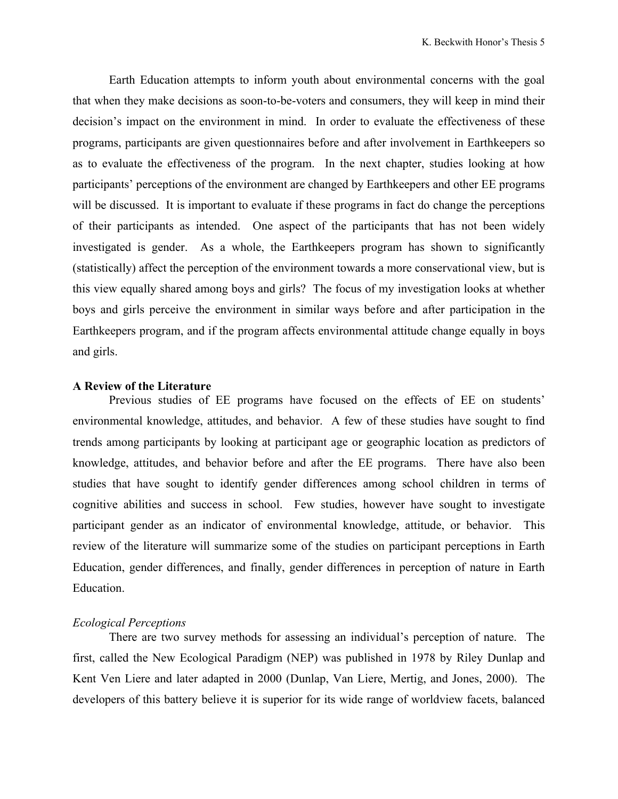Earth Education attempts to inform youth about environmental concerns with the goal that when they make decisions as soon-to-be-voters and consumers, they will keep in mind their decision's impact on the environment in mind. In order to evaluate the effectiveness of these programs, participants are given questionnaires before and after involvement in Earthkeepers so as to evaluate the effectiveness of the program. In the next chapter, studies looking at how participants' perceptions of the environment are changed by Earthkeepers and other EE programs will be discussed. It is important to evaluate if these programs in fact do change the perceptions of their participants as intended. One aspect of the participants that has not been widely investigated is gender. As a whole, the Earthkeepers program has shown to significantly (statistically) affect the perception of the environment towards a more conservational view, but is this view equally shared among boys and girls? The focus of my investigation looks at whether boys and girls perceive the environment in similar ways before and after participation in the Earthkeepers program, and if the program affects environmental attitude change equally in boys and girls.

#### **A Review of the Literature**

Previous studies of EE programs have focused on the effects of EE on students' environmental knowledge, attitudes, and behavior. A few of these studies have sought to find trends among participants by looking at participant age or geographic location as predictors of knowledge, attitudes, and behavior before and after the EE programs. There have also been studies that have sought to identify gender differences among school children in terms of cognitive abilities and success in school. Few studies, however have sought to investigate participant gender as an indicator of environmental knowledge, attitude, or behavior. This review of the literature will summarize some of the studies on participant perceptions in Earth Education, gender differences, and finally, gender differences in perception of nature in Earth Education.

## *Ecological Perceptions*

There are two survey methods for assessing an individual's perception of nature. The first, called the New Ecological Paradigm (NEP) was published in 1978 by Riley Dunlap and Kent Ven Liere and later adapted in 2000 (Dunlap, Van Liere, Mertig, and Jones, 2000). The developers of this battery believe it is superior for its wide range of worldview facets, balanced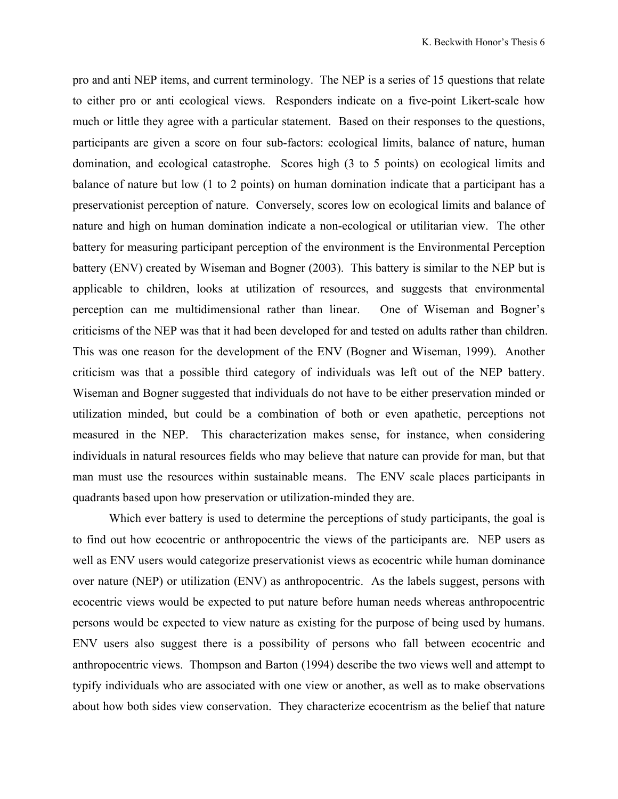pro and anti NEP items, and current terminology. The NEP is a series of 15 questions that relate to either pro or anti ecological views. Responders indicate on a five-point Likert-scale how much or little they agree with a particular statement. Based on their responses to the questions, participants are given a score on four sub-factors: ecological limits, balance of nature, human domination, and ecological catastrophe. Scores high (3 to 5 points) on ecological limits and balance of nature but low (1 to 2 points) on human domination indicate that a participant has a preservationist perception of nature. Conversely, scores low on ecological limits and balance of nature and high on human domination indicate a non-ecological or utilitarian view. The other battery for measuring participant perception of the environment is the Environmental Perception battery (ENV) created by Wiseman and Bogner (2003). This battery is similar to the NEP but is applicable to children, looks at utilization of resources, and suggests that environmental perception can me multidimensional rather than linear. One of Wiseman and Bogner's criticisms of the NEP was that it had been developed for and tested on adults rather than children. This was one reason for the development of the ENV (Bogner and Wiseman, 1999). Another criticism was that a possible third category of individuals was left out of the NEP battery. Wiseman and Bogner suggested that individuals do not have to be either preservation minded or utilization minded, but could be a combination of both or even apathetic, perceptions not measured in the NEP. This characterization makes sense, for instance, when considering individuals in natural resources fields who may believe that nature can provide for man, but that man must use the resources within sustainable means. The ENV scale places participants in quadrants based upon how preservation or utilization-minded they are.

Which ever battery is used to determine the perceptions of study participants, the goal is to find out how ecocentric or anthropocentric the views of the participants are. NEP users as well as ENV users would categorize preservationist views as ecocentric while human dominance over nature (NEP) or utilization (ENV) as anthropocentric. As the labels suggest, persons with ecocentric views would be expected to put nature before human needs whereas anthropocentric persons would be expected to view nature as existing for the purpose of being used by humans. ENV users also suggest there is a possibility of persons who fall between ecocentric and anthropocentric views. Thompson and Barton (1994) describe the two views well and attempt to typify individuals who are associated with one view or another, as well as to make observations about how both sides view conservation. They characterize ecocentrism as the belief that nature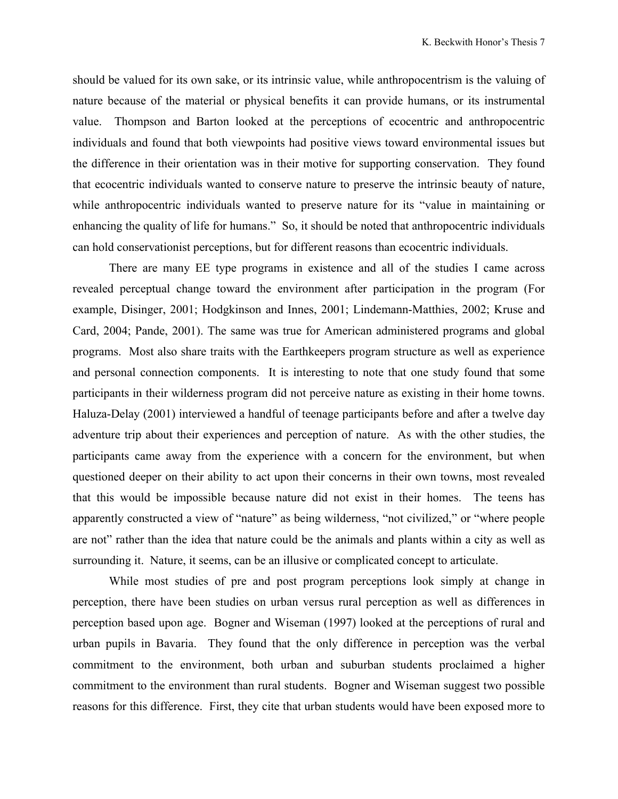should be valued for its own sake, or its intrinsic value, while anthropocentrism is the valuing of nature because of the material or physical benefits it can provide humans, or its instrumental value. Thompson and Barton looked at the perceptions of ecocentric and anthropocentric individuals and found that both viewpoints had positive views toward environmental issues but the difference in their orientation was in their motive for supporting conservation. They found that ecocentric individuals wanted to conserve nature to preserve the intrinsic beauty of nature, while anthropocentric individuals wanted to preserve nature for its "value in maintaining or enhancing the quality of life for humans." So, it should be noted that anthropocentric individuals can hold conservationist perceptions, but for different reasons than ecocentric individuals.

There are many EE type programs in existence and all of the studies I came across revealed perceptual change toward the environment after participation in the program (For example, Disinger, 2001; Hodgkinson and Innes, 2001; Lindemann-Matthies, 2002; Kruse and Card, 2004; Pande, 2001). The same was true for American administered programs and global programs. Most also share traits with the Earthkeepers program structure as well as experience and personal connection components. It is interesting to note that one study found that some participants in their wilderness program did not perceive nature as existing in their home towns. Haluza-Delay (2001) interviewed a handful of teenage participants before and after a twelve day adventure trip about their experiences and perception of nature. As with the other studies, the participants came away from the experience with a concern for the environment, but when questioned deeper on their ability to act upon their concerns in their own towns, most revealed that this would be impossible because nature did not exist in their homes. The teens has apparently constructed a view of "nature" as being wilderness, "not civilized," or "where people are not" rather than the idea that nature could be the animals and plants within a city as well as surrounding it. Nature, it seems, can be an illusive or complicated concept to articulate.

While most studies of pre and post program perceptions look simply at change in perception, there have been studies on urban versus rural perception as well as differences in perception based upon age. Bogner and Wiseman (1997) looked at the perceptions of rural and urban pupils in Bavaria. They found that the only difference in perception was the verbal commitment to the environment, both urban and suburban students proclaimed a higher commitment to the environment than rural students. Bogner and Wiseman suggest two possible reasons for this difference. First, they cite that urban students would have been exposed more to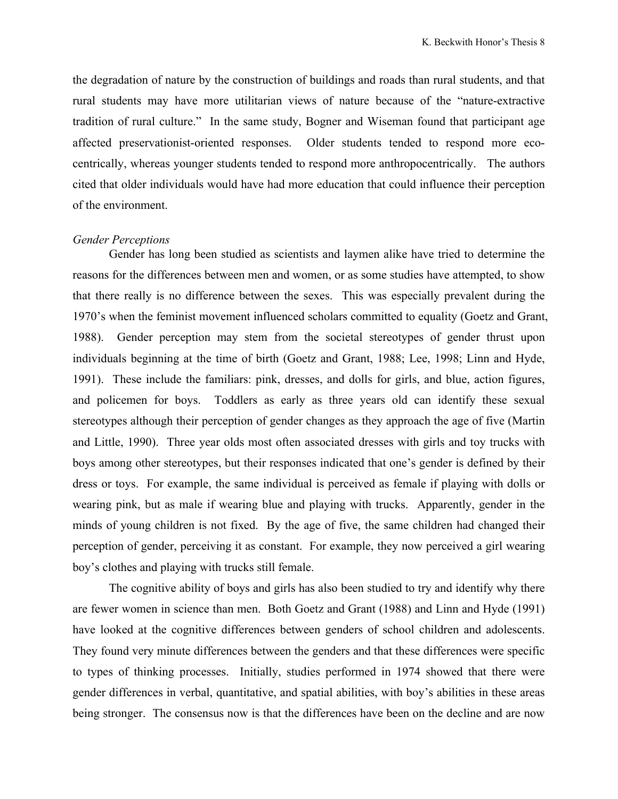the degradation of nature by the construction of buildings and roads than rural students, and that rural students may have more utilitarian views of nature because of the "nature-extractive tradition of rural culture." In the same study, Bogner and Wiseman found that participant age affected preservationist-oriented responses. Older students tended to respond more ecocentrically, whereas younger students tended to respond more anthropocentrically. The authors cited that older individuals would have had more education that could influence their perception of the environment.

#### *Gender Perceptions*

Gender has long been studied as scientists and laymen alike have tried to determine the reasons for the differences between men and women, or as some studies have attempted, to show that there really is no difference between the sexes. This was especially prevalent during the 1970's when the feminist movement influenced scholars committed to equality (Goetz and Grant, 1988). Gender perception may stem from the societal stereotypes of gender thrust upon individuals beginning at the time of birth (Goetz and Grant, 1988; Lee, 1998; Linn and Hyde, 1991). These include the familiars: pink, dresses, and dolls for girls, and blue, action figures, and policemen for boys. Toddlers as early as three years old can identify these sexual stereotypes although their perception of gender changes as they approach the age of five (Martin and Little, 1990). Three year olds most often associated dresses with girls and toy trucks with boys among other stereotypes, but their responses indicated that one's gender is defined by their dress or toys. For example, the same individual is perceived as female if playing with dolls or wearing pink, but as male if wearing blue and playing with trucks. Apparently, gender in the minds of young children is not fixed. By the age of five, the same children had changed their perception of gender, perceiving it as constant. For example, they now perceived a girl wearing boy's clothes and playing with trucks still female.

The cognitive ability of boys and girls has also been studied to try and identify why there are fewer women in science than men. Both Goetz and Grant (1988) and Linn and Hyde (1991) have looked at the cognitive differences between genders of school children and adolescents. They found very minute differences between the genders and that these differences were specific to types of thinking processes. Initially, studies performed in 1974 showed that there were gender differences in verbal, quantitative, and spatial abilities, with boy's abilities in these areas being stronger. The consensus now is that the differences have been on the decline and are now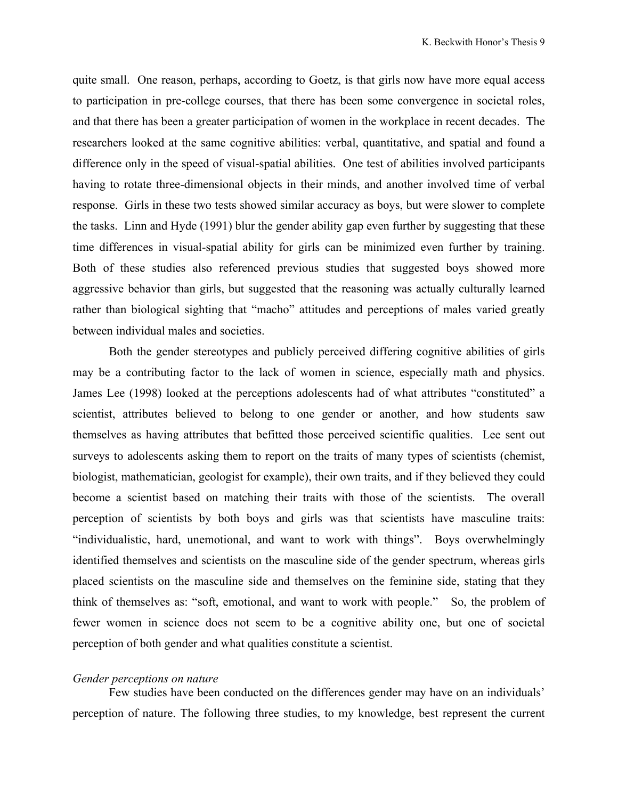quite small. One reason, perhaps, according to Goetz, is that girls now have more equal access to participation in pre-college courses, that there has been some convergence in societal roles, and that there has been a greater participation of women in the workplace in recent decades. The researchers looked at the same cognitive abilities: verbal, quantitative, and spatial and found a difference only in the speed of visual-spatial abilities. One test of abilities involved participants having to rotate three-dimensional objects in their minds, and another involved time of verbal response. Girls in these two tests showed similar accuracy as boys, but were slower to complete the tasks. Linn and Hyde (1991) blur the gender ability gap even further by suggesting that these time differences in visual-spatial ability for girls can be minimized even further by training. Both of these studies also referenced previous studies that suggested boys showed more aggressive behavior than girls, but suggested that the reasoning was actually culturally learned rather than biological sighting that "macho" attitudes and perceptions of males varied greatly between individual males and societies.

Both the gender stereotypes and publicly perceived differing cognitive abilities of girls may be a contributing factor to the lack of women in science, especially math and physics. James Lee (1998) looked at the perceptions adolescents had of what attributes "constituted" a scientist, attributes believed to belong to one gender or another, and how students saw themselves as having attributes that befitted those perceived scientific qualities. Lee sent out surveys to adolescents asking them to report on the traits of many types of scientists (chemist, biologist, mathematician, geologist for example), their own traits, and if they believed they could become a scientist based on matching their traits with those of the scientists. The overall perception of scientists by both boys and girls was that scientists have masculine traits: "individualistic, hard, unemotional, and want to work with things". Boys overwhelmingly identified themselves and scientists on the masculine side of the gender spectrum, whereas girls placed scientists on the masculine side and themselves on the feminine side, stating that they think of themselves as: "soft, emotional, and want to work with people." So, the problem of fewer women in science does not seem to be a cognitive ability one, but one of societal perception of both gender and what qualities constitute a scientist.

#### *Gender perceptions on nature*

Few studies have been conducted on the differences gender may have on an individuals' perception of nature. The following three studies, to my knowledge, best represent the current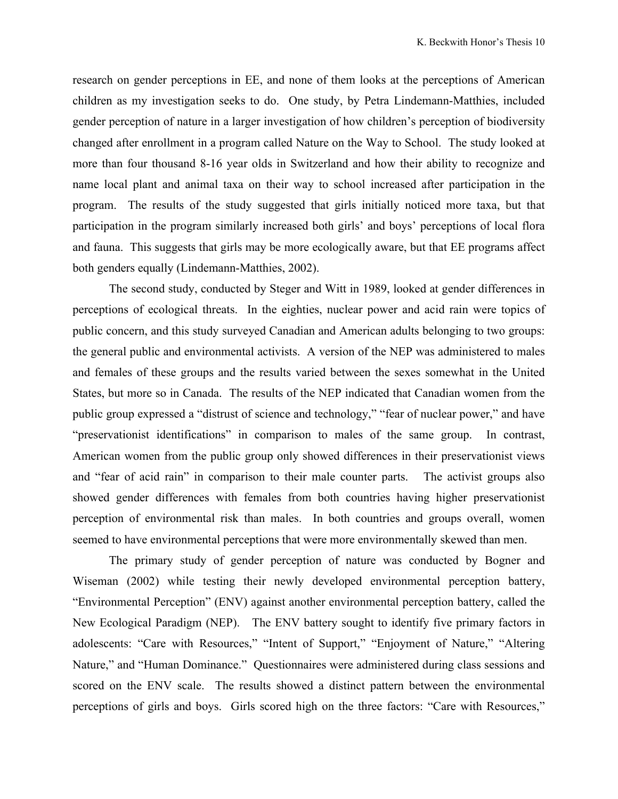research on gender perceptions in EE, and none of them looks at the perceptions of American children as my investigation seeks to do. One study, by Petra Lindemann-Matthies, included gender perception of nature in a larger investigation of how children's perception of biodiversity changed after enrollment in a program called Nature on the Way to School. The study looked at more than four thousand 8-16 year olds in Switzerland and how their ability to recognize and name local plant and animal taxa on their way to school increased after participation in the program. The results of the study suggested that girls initially noticed more taxa, but that participation in the program similarly increased both girls' and boys' perceptions of local flora and fauna. This suggests that girls may be more ecologically aware, but that EE programs affect both genders equally (Lindemann-Matthies, 2002).

The second study, conducted by Steger and Witt in 1989, looked at gender differences in perceptions of ecological threats. In the eighties, nuclear power and acid rain were topics of public concern, and this study surveyed Canadian and American adults belonging to two groups: the general public and environmental activists. A version of the NEP was administered to males and females of these groups and the results varied between the sexes somewhat in the United States, but more so in Canada. The results of the NEP indicated that Canadian women from the public group expressed a "distrust of science and technology," "fear of nuclear power," and have "preservationist identifications" in comparison to males of the same group. In contrast, American women from the public group only showed differences in their preservationist views and "fear of acid rain" in comparison to their male counter parts. The activist groups also showed gender differences with females from both countries having higher preservationist perception of environmental risk than males. In both countries and groups overall, women seemed to have environmental perceptions that were more environmentally skewed than men.

The primary study of gender perception of nature was conducted by Bogner and Wiseman (2002) while testing their newly developed environmental perception battery, "Environmental Perception" (ENV) against another environmental perception battery, called the New Ecological Paradigm (NEP). The ENV battery sought to identify five primary factors in adolescents: "Care with Resources," "Intent of Support," "Enjoyment of Nature," "Altering Nature," and "Human Dominance." Questionnaires were administered during class sessions and scored on the ENV scale. The results showed a distinct pattern between the environmental perceptions of girls and boys. Girls scored high on the three factors: "Care with Resources,"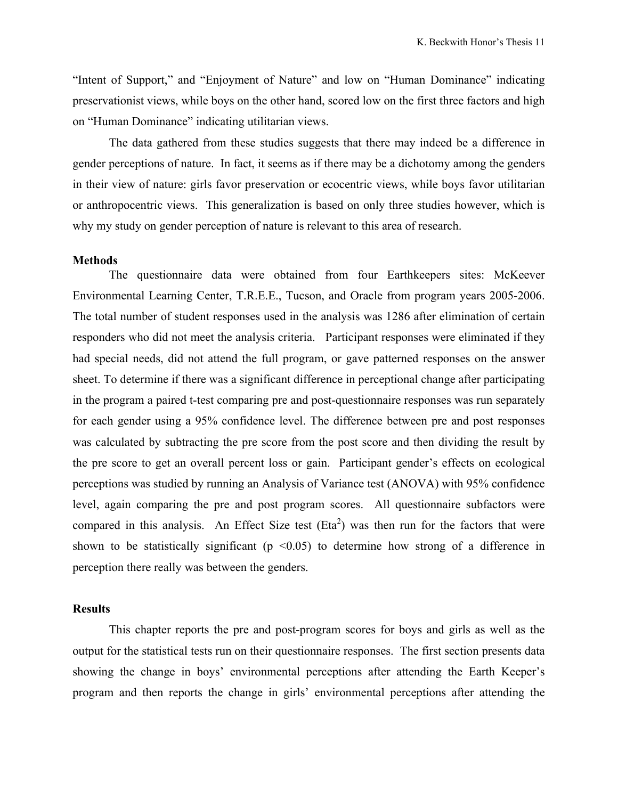"Intent of Support," and "Enjoyment of Nature" and low on "Human Dominance" indicating preservationist views, while boys on the other hand, scored low on the first three factors and high on "Human Dominance" indicating utilitarian views.

The data gathered from these studies suggests that there may indeed be a difference in gender perceptions of nature. In fact, it seems as if there may be a dichotomy among the genders in their view of nature: girls favor preservation or ecocentric views, while boys favor utilitarian or anthropocentric views. This generalization is based on only three studies however, which is why my study on gender perception of nature is relevant to this area of research.

## **Methods**

The questionnaire data were obtained from four Earthkeepers sites: McKeever Environmental Learning Center, T.R.E.E., Tucson, and Oracle from program years 2005-2006. The total number of student responses used in the analysis was 1286 after elimination of certain responders who did not meet the analysis criteria. Participant responses were eliminated if they had special needs, did not attend the full program, or gave patterned responses on the answer sheet. To determine if there was a significant difference in perceptional change after participating in the program a paired t-test comparing pre and post-questionnaire responses was run separately for each gender using a 95% confidence level. The difference between pre and post responses was calculated by subtracting the pre score from the post score and then dividing the result by the pre score to get an overall percent loss or gain. Participant gender's effects on ecological perceptions was studied by running an Analysis of Variance test (ANOVA) with 95% confidence level, again comparing the pre and post program scores. All questionnaire subfactors were compared in this analysis. An Effect Size test  $(Eta<sup>2</sup>)$  was then run for the factors that were shown to be statistically significant ( $p \le 0.05$ ) to determine how strong of a difference in perception there really was between the genders.

#### **Results**

This chapter reports the pre and post-program scores for boys and girls as well as the output for the statistical tests run on their questionnaire responses. The first section presents data showing the change in boys' environmental perceptions after attending the Earth Keeper's program and then reports the change in girls' environmental perceptions after attending the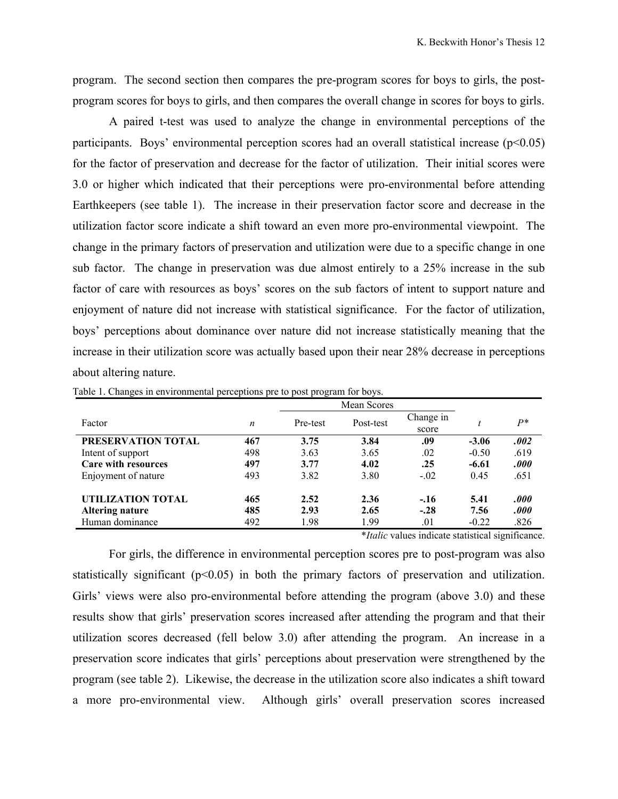program. The second section then compares the pre-program scores for boys to girls, the postprogram scores for boys to girls, and then compares the overall change in scores for boys to girls.

A paired t-test was used to analyze the change in environmental perceptions of the participants. Boys' environmental perception scores had an overall statistical increase  $(p<0.05)$ for the factor of preservation and decrease for the factor of utilization. Their initial scores were 3.0 or higher which indicated that their perceptions were pro-environmental before attending Earthkeepers (see table 1). The increase in their preservation factor score and decrease in the utilization factor score indicate a shift toward an even more pro-environmental viewpoint. The change in the primary factors of preservation and utilization were due to a specific change in one sub factor. The change in preservation was due almost entirely to a 25% increase in the sub factor of care with resources as boys' scores on the sub factors of intent to support nature and enjoyment of nature did not increase with statistical significance. For the factor of utilization, boys' perceptions about dominance over nature did not increase statistically meaning that the increase in their utilization score was actually based upon their near 28% decrease in perceptions about altering nature.

| Factor              | n   | Pre-test | Post-test                             | Change in<br>score |                                                                                                                                                                                                                               | $P^*$          |
|---------------------|-----|----------|---------------------------------------|--------------------|-------------------------------------------------------------------------------------------------------------------------------------------------------------------------------------------------------------------------------|----------------|
| PRESERVATION TOTAL  | 467 | 3.75     | 3.84                                  | .09                | $-3.06$                                                                                                                                                                                                                       | .002           |
| Intent of support   | 498 | 3.63     | 3.65                                  | .02                | $-0.50$                                                                                                                                                                                                                       | .619           |
| Care with resources | 497 | 3.77     | 4.02                                  | .25                | $-6.61$                                                                                                                                                                                                                       | .000           |
| Enjoyment of nature | 493 | 3.82     | 3.80                                  | $-02$              | 0.45                                                                                                                                                                                                                          | .651           |
| UTILIZATION TOTAL   | 465 | 2.52     | 2.36                                  | $-.16$             | 5.41                                                                                                                                                                                                                          | .000           |
| Altering nature     | 485 | 2.93     | 2.65                                  | $-.28$             | 7.56                                                                                                                                                                                                                          | .000           |
| Human dominance     | 492 | 1.98     | 1.99                                  | .01                | $-0.22$                                                                                                                                                                                                                       | .826           |
|                     |     |          | $\mathbf{a}$ . The state $\mathbf{b}$ | $\blacksquare$     | the company of the company of the company of the company of the company of the company of the company of the company of the company of the company of the company of the company of the company of the company of the company | $\cdot$ $\sim$ |

Table 1. Changes in environmental perceptions pre to post program for boys.

\**Italic* values indicate statistical significance.

For girls, the difference in environmental perception scores pre to post-program was also statistically significant  $(p<0.05)$  in both the primary factors of preservation and utilization. Girls' views were also pro-environmental before attending the program (above 3.0) and these results show that girls' preservation scores increased after attending the program and that their utilization scores decreased (fell below 3.0) after attending the program. An increase in a preservation score indicates that girls' perceptions about preservation were strengthened by the program (see table 2). Likewise, the decrease in the utilization score also indicates a shift toward a more pro-environmental view. Although girls' overall preservation scores increased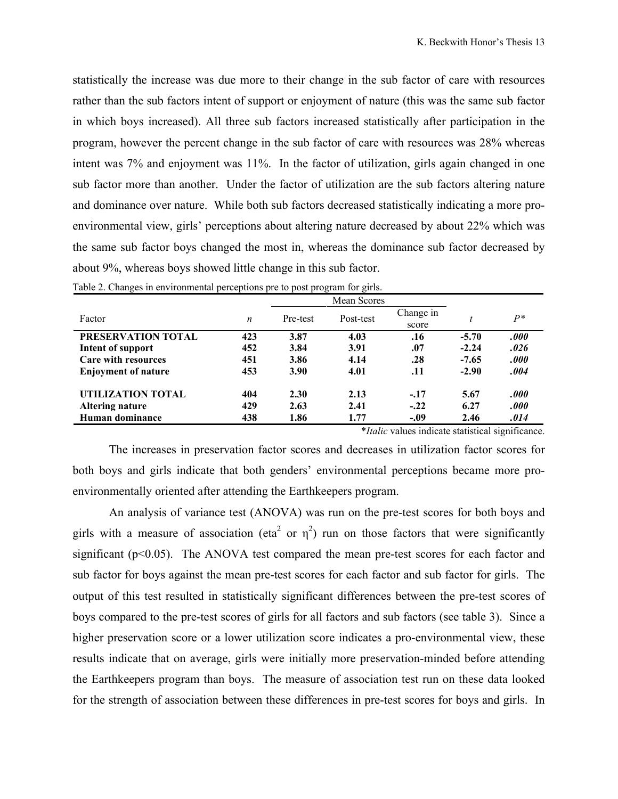statistically the increase was due more to their change in the sub factor of care with resources rather than the sub factors intent of support or enjoyment of nature (this was the same sub factor in which boys increased). All three sub factors increased statistically after participation in the program, however the percent change in the sub factor of care with resources was 28% whereas intent was 7% and enjoyment was 11%. In the factor of utilization, girls again changed in one sub factor more than another. Under the factor of utilization are the sub factors altering nature and dominance over nature. While both sub factors decreased statistically indicating a more proenvironmental view, girls' perceptions about altering nature decreased by about 22% which was the same sub factor boys changed the most in, whereas the dominance sub factor decreased by about 9%, whereas boys showed little change in this sub factor.

|                            |                  |          | Mean Scores |                    |         |       |
|----------------------------|------------------|----------|-------------|--------------------|---------|-------|
| Factor                     | $\boldsymbol{n}$ | Pre-test | Post-test   | Change in<br>score |         | $p*$  |
| <b>PRESERVATION TOTAL</b>  | 423              | 3.87     | 4.03        | .16                | $-5.70$ | .000  |
| Intent of support          | 452              | 3.84     | 3.91        | .07                | $-2.24$ | .026  |
| <b>Care with resources</b> | 451              | 3.86     | 4.14        | .28                | $-7.65$ | .000  |
| <b>Enjoyment of nature</b> | 453              | 3.90     | 4.01        | .11                | $-2.90$ | .004  |
| UTILIZATION TOTAL          | 404              | 2.30     | 2.13        | $-.17$             | 5.67    | .000  |
| Altering nature            | 429              | 2.63     | 2.41        | $-.22$             | 6.27    | .000. |
| Human dominance            | 438              | 1.86     | 1.77        | $-.09$             | 2.46    | .014  |

|  | Table 2. Changes in environmental perceptions pre to post program for girls. |  |  |  |  |
|--|------------------------------------------------------------------------------|--|--|--|--|
|  |                                                                              |  |  |  |  |

\**Italic* values indicate statistical significance.

The increases in preservation factor scores and decreases in utilization factor scores for both boys and girls indicate that both genders' environmental perceptions became more proenvironmentally oriented after attending the Earthkeepers program.

An analysis of variance test (ANOVA) was run on the pre-test scores for both boys and girls with a measure of association (eta<sup>2</sup> or  $\eta^2$ ) run on those factors that were significantly significant  $(p<0.05)$ . The ANOVA test compared the mean pre-test scores for each factor and sub factor for boys against the mean pre-test scores for each factor and sub factor for girls. The output of this test resulted in statistically significant differences between the pre-test scores of boys compared to the pre-test scores of girls for all factors and sub factors (see table 3). Since a higher preservation score or a lower utilization score indicates a pro-environmental view, these results indicate that on average, girls were initially more preservation-minded before attending the Earthkeepers program than boys. The measure of association test run on these data looked for the strength of association between these differences in pre-test scores for boys and girls. In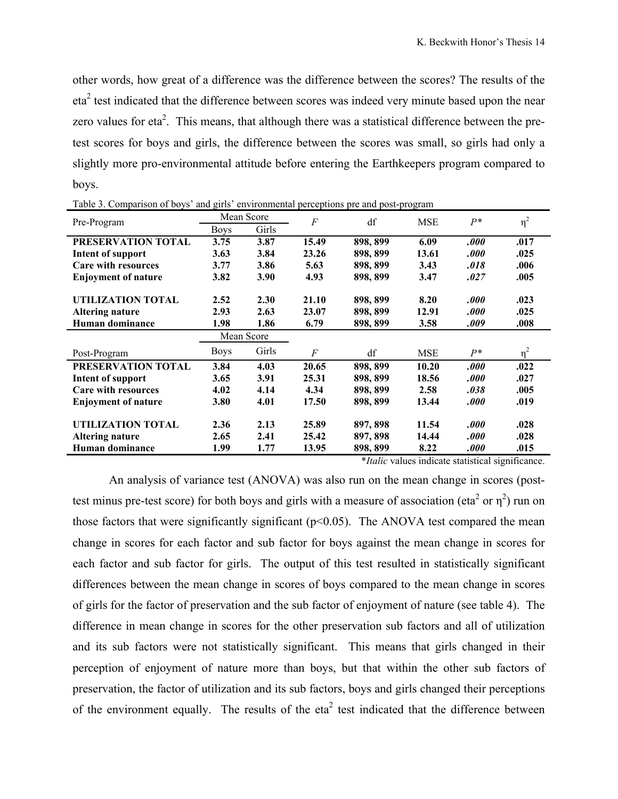other words, how great of a difference was the difference between the scores? The results of the  $eta<sup>2</sup>$  test indicated that the difference between scores was indeed very minute based upon the near zero values for eta<sup>2</sup>. This means, that although there was a statistical difference between the pretest scores for boys and girls, the difference between the scores was small, so girls had only a slightly more pro-environmental attitude before entering the Earthkeepers program compared to boys.

| Pre-Program                | Mean Score           |       | $\cal F$ | df       | <b>MSE</b> | $P^*$ | $\eta^2$ |  |
|----------------------------|----------------------|-------|----------|----------|------------|-------|----------|--|
|                            | Girls<br><b>Boys</b> |       |          |          |            |       |          |  |
| PRESERVATION TOTAL         | 3.75                 | 3.87  | 15.49    | 898, 899 | 6.09       | .000  | .017     |  |
| <b>Intent of support</b>   | 3.63                 | 3.84  | 23.26    | 898, 899 | 13.61      | .000  | .025     |  |
| <b>Care with resources</b> | 3.77                 | 3.86  | 5.63     | 898, 899 | 3.43       | .018  | .006     |  |
| <b>Enjoyment of nature</b> | 3.82                 | 3.90  | 4.93     | 898, 899 | 3.47       | .027  | .005     |  |
|                            |                      |       |          |          |            |       |          |  |
| UTILIZATION TOTAL          | 2.52                 | 2.30  | 21.10    | 898, 899 | 8.20       | .000  | .023     |  |
| <b>Altering nature</b>     | 2.93                 | 2.63  | 23.07    | 898, 899 | 12.91      | .000  | .025     |  |
| Human dominance            | 1.98                 | 1.86  | 6.79     | 898, 899 | 3.58       | .009  | .008     |  |
|                            | Mean Score           |       |          |          |            |       |          |  |
| Post-Program               | <b>Boys</b>          | Girls | F        | df       | <b>MSE</b> | $P^*$ | $\eta^2$ |  |
| PRESERVATION TOTAL         | 3.84                 | 4.03  | 20.65    | 898, 899 | 10.20      | .000  | .022     |  |
| <b>Intent of support</b>   | 3.65                 | 3.91  | 25.31    | 898, 899 | 18.56      | .000  | .027     |  |
| <b>Care with resources</b> | 4.02                 | 4.14  | 4.34     | 898, 899 | 2.58       | .038  | .005     |  |
| <b>Enjoyment of nature</b> | 3.80                 | 4.01  | 17.50    | 898, 899 | 13.44      | .000  | .019     |  |
| UTILIZATION TOTAL          | 2.36                 | 2.13  | 25.89    | 897, 898 | 11.54      | .000  | .028     |  |
| Altering nature            | 2.65                 | 2.41  | 25.42    | 897, 898 | 14.44      | .000  | .028     |  |
| Human dominance            | 1.99                 | 1.77  | 13.95    | 898, 899 | 8.22       | .000  | .015     |  |

Table 3. Comparison of boys' and girls' environmental perceptions pre and post-program

\**Italic* values indicate statistical significance.

An analysis of variance test (ANOVA) was also run on the mean change in scores (posttest minus pre-test score) for both boys and girls with a measure of association (eta<sup>2</sup> or  $\eta^2$ ) run on those factors that were significantly significant  $(p<0.05)$ . The ANOVA test compared the mean change in scores for each factor and sub factor for boys against the mean change in scores for each factor and sub factor for girls. The output of this test resulted in statistically significant differences between the mean change in scores of boys compared to the mean change in scores of girls for the factor of preservation and the sub factor of enjoyment of nature (see table 4). The difference in mean change in scores for the other preservation sub factors and all of utilization and its sub factors were not statistically significant. This means that girls changed in their perception of enjoyment of nature more than boys, but that within the other sub factors of preservation, the factor of utilization and its sub factors, boys and girls changed their perceptions of the environment equally. The results of the eta<sup>2</sup> test indicated that the difference between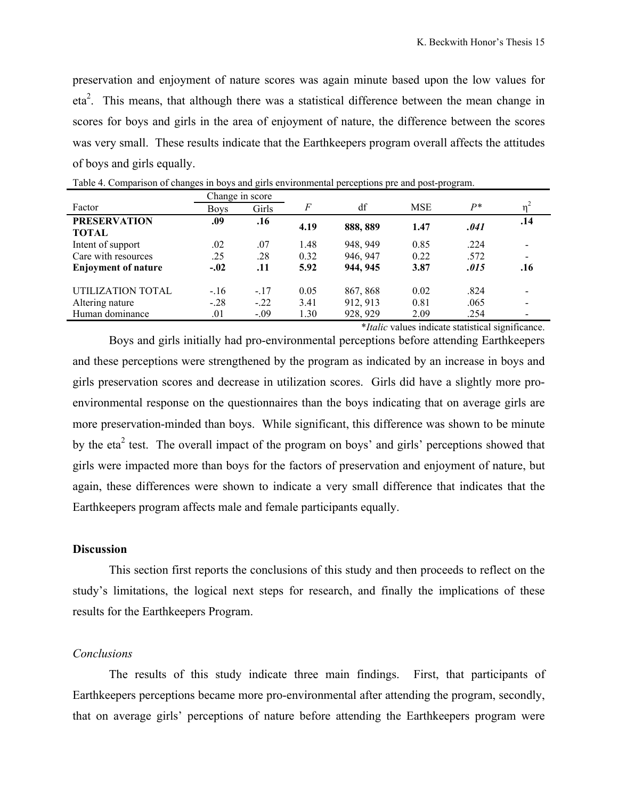preservation and enjoyment of nature scores was again minute based upon the low values for eta<sup>2</sup>. This means, that although there was a statistical difference between the mean change in scores for boys and girls in the area of enjoyment of nature, the difference between the scores was very small. These results indicate that the Earthkeepers program overall affects the attitudes of boys and girls equally.

|                                     | Change in score |        |      |          |            |       |     |
|-------------------------------------|-----------------|--------|------|----------|------------|-------|-----|
| Factor                              | <b>Boys</b>     | Girls  | F    | df       | <b>MSE</b> | $P^*$ |     |
| <b>PRESERVATION</b><br><b>TOTAL</b> | .09             | .16    | 4.19 | 888, 889 | 1.47       | .041  | .14 |
| Intent of support                   | .02             | .07    | 1.48 | 948.949  | 0.85       | .224  |     |
| Care with resources                 | .25             | .28    | 0.32 | 946, 947 | 0.22       | .572  |     |
| <b>Enjoyment of nature</b>          | $-.02$          | .11    | 5.92 | 944, 945 | 3.87       | .015  | .16 |
| UTILIZATION TOTAL                   | $-16$           | $-.17$ | 0.05 | 867, 868 | 0.02       | .824  |     |
| Altering nature                     | $-.28$          | $-.22$ | 3.41 | 912, 913 | 0.81       | .065  |     |
| Human dominance                     | .01             | $-.09$ | 1.30 | 928, 929 | 2.09       | .254  |     |

Table 4. Comparison of changes in boys and girls environmental perceptions pre and post-program.

\**Italic* values indicate statistical significance.

Boys and girls initially had pro-environmental perceptions before attending Earthkeepers and these perceptions were strengthened by the program as indicated by an increase in boys and girls preservation scores and decrease in utilization scores. Girls did have a slightly more proenvironmental response on the questionnaires than the boys indicating that on average girls are more preservation-minded than boys. While significant, this difference was shown to be minute by the eta<sup>2</sup> test. The overall impact of the program on boys' and girls' perceptions showed that girls were impacted more than boys for the factors of preservation and enjoyment of nature, but again, these differences were shown to indicate a very small difference that indicates that the Earthkeepers program affects male and female participants equally.

## **Discussion**

This section first reports the conclusions of this study and then proceeds to reflect on the study's limitations, the logical next steps for research, and finally the implications of these results for the Earthkeepers Program.

#### *Conclusions*

The results of this study indicate three main findings. First, that participants of Earthkeepers perceptions became more pro-environmental after attending the program, secondly, that on average girls' perceptions of nature before attending the Earthkeepers program were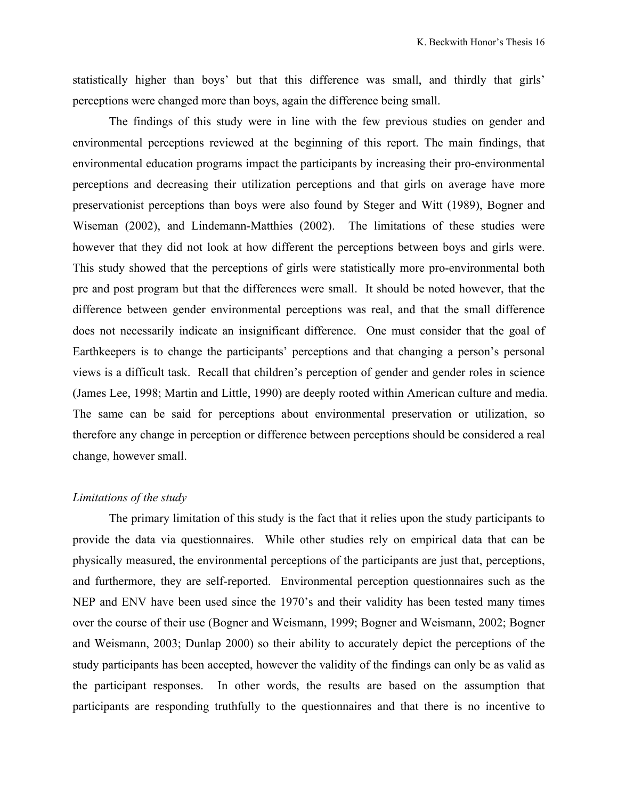statistically higher than boys' but that this difference was small, and thirdly that girls' perceptions were changed more than boys, again the difference being small.

The findings of this study were in line with the few previous studies on gender and environmental perceptions reviewed at the beginning of this report. The main findings, that environmental education programs impact the participants by increasing their pro-environmental perceptions and decreasing their utilization perceptions and that girls on average have more preservationist perceptions than boys were also found by Steger and Witt (1989), Bogner and Wiseman (2002), and Lindemann-Matthies (2002). The limitations of these studies were however that they did not look at how different the perceptions between boys and girls were. This study showed that the perceptions of girls were statistically more pro-environmental both pre and post program but that the differences were small. It should be noted however, that the difference between gender environmental perceptions was real, and that the small difference does not necessarily indicate an insignificant difference. One must consider that the goal of Earthkeepers is to change the participants' perceptions and that changing a person's personal views is a difficult task. Recall that children's perception of gender and gender roles in science (James Lee, 1998; Martin and Little, 1990) are deeply rooted within American culture and media. The same can be said for perceptions about environmental preservation or utilization, so therefore any change in perception or difference between perceptions should be considered a real change, however small.

## *Limitations of the study*

The primary limitation of this study is the fact that it relies upon the study participants to provide the data via questionnaires. While other studies rely on empirical data that can be physically measured, the environmental perceptions of the participants are just that, perceptions, and furthermore, they are self-reported. Environmental perception questionnaires such as the NEP and ENV have been used since the 1970's and their validity has been tested many times over the course of their use (Bogner and Weismann, 1999; Bogner and Weismann, 2002; Bogner and Weismann, 2003; Dunlap 2000) so their ability to accurately depict the perceptions of the study participants has been accepted, however the validity of the findings can only be as valid as the participant responses. In other words, the results are based on the assumption that participants are responding truthfully to the questionnaires and that there is no incentive to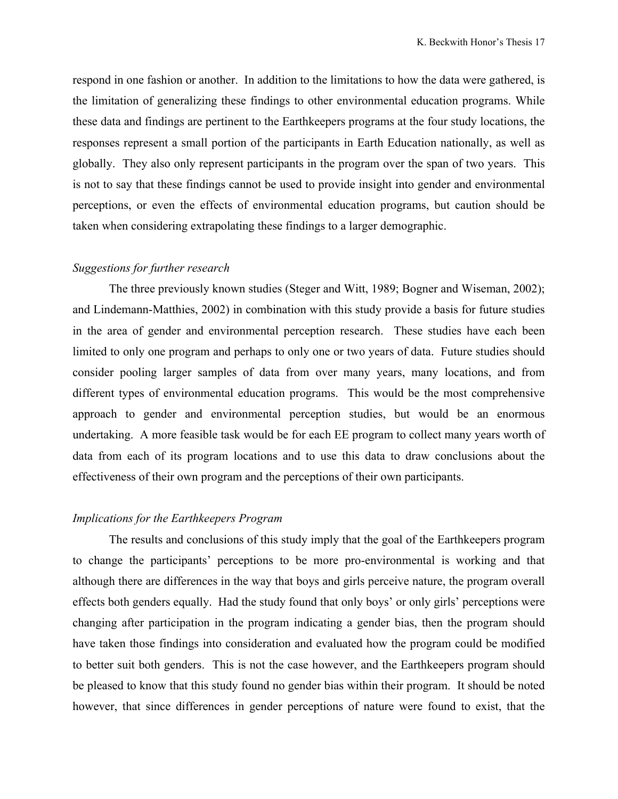respond in one fashion or another. In addition to the limitations to how the data were gathered, is the limitation of generalizing these findings to other environmental education programs. While these data and findings are pertinent to the Earthkeepers programs at the four study locations, the responses represent a small portion of the participants in Earth Education nationally, as well as globally. They also only represent participants in the program over the span of two years. This is not to say that these findings cannot be used to provide insight into gender and environmental perceptions, or even the effects of environmental education programs, but caution should be taken when considering extrapolating these findings to a larger demographic.

# *Suggestions for further research*

The three previously known studies (Steger and Witt, 1989; Bogner and Wiseman, 2002); and Lindemann-Matthies, 2002) in combination with this study provide a basis for future studies in the area of gender and environmental perception research. These studies have each been limited to only one program and perhaps to only one or two years of data. Future studies should consider pooling larger samples of data from over many years, many locations, and from different types of environmental education programs. This would be the most comprehensive approach to gender and environmental perception studies, but would be an enormous undertaking. A more feasible task would be for each EE program to collect many years worth of data from each of its program locations and to use this data to draw conclusions about the effectiveness of their own program and the perceptions of their own participants.

## *Implications for the Earthkeepers Program*

The results and conclusions of this study imply that the goal of the Earthkeepers program to change the participants' perceptions to be more pro-environmental is working and that although there are differences in the way that boys and girls perceive nature, the program overall effects both genders equally. Had the study found that only boys' or only girls' perceptions were changing after participation in the program indicating a gender bias, then the program should have taken those findings into consideration and evaluated how the program could be modified to better suit both genders. This is not the case however, and the Earthkeepers program should be pleased to know that this study found no gender bias within their program. It should be noted however, that since differences in gender perceptions of nature were found to exist, that the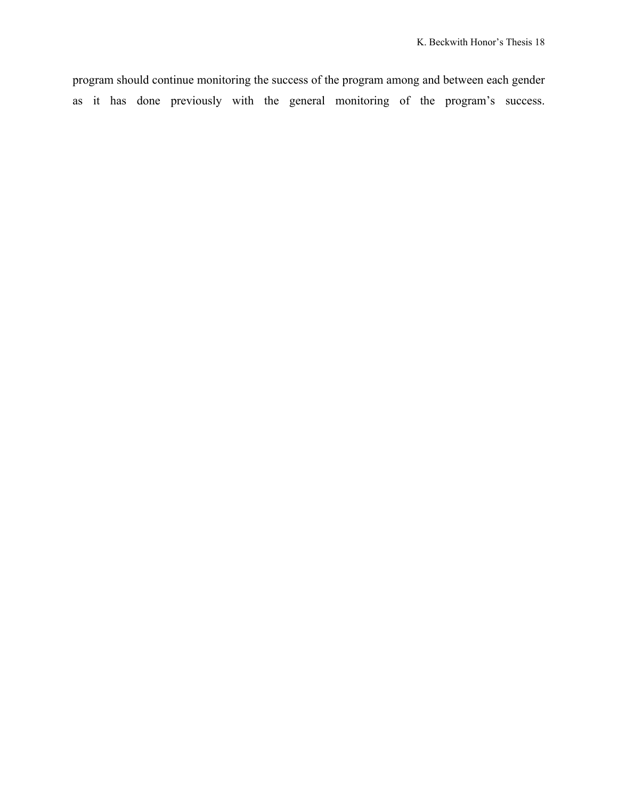program should continue monitoring the success of the program among and between each gender as it has done previously with the general monitoring of the program's success.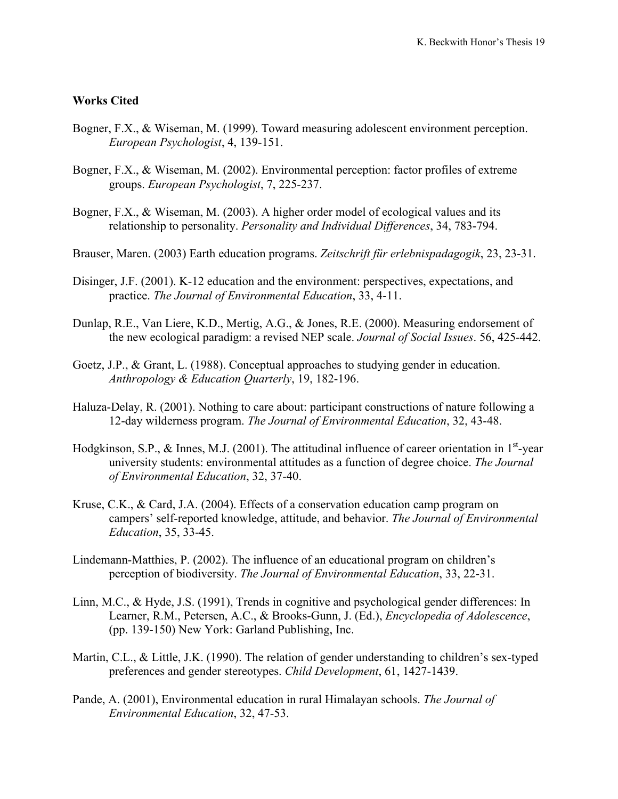## **Works Cited**

- Bogner, F.X., & Wiseman, M. (1999). Toward measuring adolescent environment perception. *European Psychologist*, 4, 139-151.
- Bogner, F.X., & Wiseman, M. (2002). Environmental perception: factor profiles of extreme groups. *European Psychologist*, 7, 225-237.
- Bogner, F.X., & Wiseman, M. (2003). A higher order model of ecological values and its relationship to personality. *Personality and Individual Differences*, 34, 783-794.
- Brauser, Maren. (2003) Earth education programs. *Zeitschrift für erlebnispadagogik*, 23, 23-31.
- Disinger, J.F. (2001). K-12 education and the environment: perspectives, expectations, and practice. *The Journal of Environmental Education*, 33, 4-11.
- Dunlap, R.E., Van Liere, K.D., Mertig, A.G., & Jones, R.E. (2000). Measuring endorsement of the new ecological paradigm: a revised NEP scale. *Journal of Social Issues*. 56, 425-442.
- Goetz, J.P., & Grant, L. (1988). Conceptual approaches to studying gender in education. *Anthropology & Education Quarterly*, 19, 182-196.
- Haluza-Delay, R. (2001). Nothing to care about: participant constructions of nature following a 12-day wilderness program. *The Journal of Environmental Education*, 32, 43-48.
- Hodgkinson, S.P.,  $\&$  Innes, M.J. (2001). The attitudinal influence of career orientation in 1<sup>st</sup>-year university students: environmental attitudes as a function of degree choice. *The Journal of Environmental Education*, 32, 37-40.
- Kruse, C.K., & Card, J.A. (2004). Effects of a conservation education camp program on campers' self-reported knowledge, attitude, and behavior. *The Journal of Environmental Education*, 35, 33-45.
- Lindemann-Matthies, P. (2002). The influence of an educational program on children's perception of biodiversity. *The Journal of Environmental Education*, 33, 22-31.
- Linn, M.C., & Hyde, J.S. (1991), Trends in cognitive and psychological gender differences: In Learner, R.M., Petersen, A.C., & Brooks-Gunn, J. (Ed.), *Encyclopedia of Adolescence*, (pp. 139-150) New York: Garland Publishing, Inc.
- Martin, C.L., & Little, J.K. (1990). The relation of gender understanding to children's sex-typed preferences and gender stereotypes. *Child Development*, 61, 1427-1439.
- Pande, A. (2001), Environmental education in rural Himalayan schools. *The Journal of Environmental Education*, 32, 47-53.